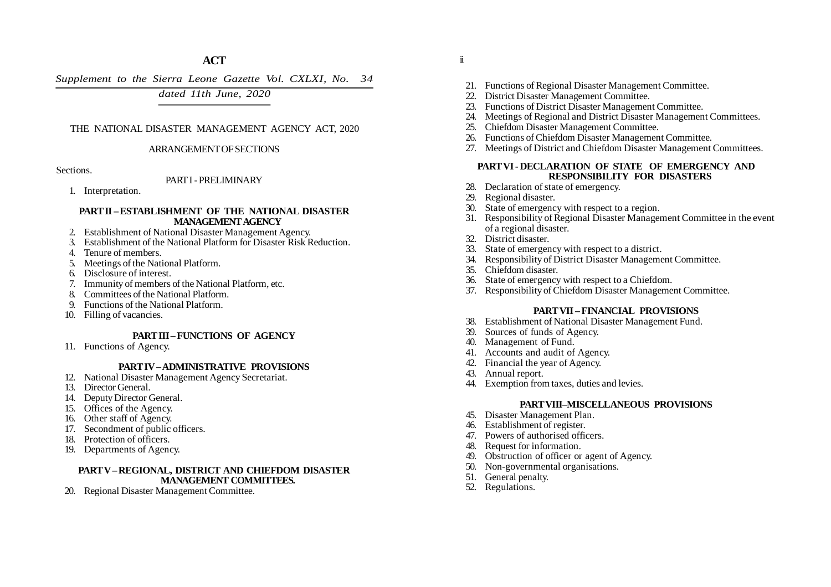*Supplement to the Sierra Leone Gazette Vol. CXLXI, No. 34*

*dated 11th June, 2020*

## THE NATIONAL DISASTER MANAGEMENT AGENCY ACT, 2020

#### ARRANGEMENT OF SECTIONS

#### Sections.

### PART I - PRELIMINARY

1. Interpretation.

#### **PART II – ESTABLISHMENT OF THE NATIONAL DISASTER MANAGEMENT AGENCY**

- 2. Establishment of National Disaster Management Agency.
- 3. Establishment of the National Platform for Disaster Risk Reduction.
- 4. Tenure of members.
- 5. Meetings of the National Platform.
- 6. Disclosure of interest.
- 7. Immunity of members of the National Platform, etc.
- 8. Committees of the National Platform.
- 9. Functions of the National Platform.
- 10. Filling of vacancies.

## **PART III – FUNCTIONS OF AGENCY**

11. Functions of Agency.

## **PART IV – ADMINISTRATIVE PROVISIONS**

- 12. National Disaster Management Agency Secretariat.
- 13. Director General.
- 14. Deputy Director General.
- 15. Offices of the Agency.
- 16. Other staff of Agency.
- 17. Secondment of public officers.
- 18. Protection of officers.
- 19. Departments of Agency.

## **PART V –REGIONAL, DISTRICT AND CHIEFDOM DISASTER MANAGEMENT COMMITTEES.**

20. Regional Disaster Management Committee.

- ii
- 21. Functions of Regional Disaster Management Committee.
- 22. District Disaster Management Committee.
- 23. Functions of District Disaster Management Committee.
- 24. Meetings of Regional and District Disaster Management Committees.
- 25. Chiefdom Disaster Management Committee.
- 26. Functions of Chiefdom Disaster Management Committee.
- 27. Meetings of District and Chiefdom Disaster Management Committees.

#### **PART VI - DECLARATION OF STATE OF EMERGENCY AND RESPONSIBILITY FOR DISASTERS**

- 28. Declaration of state of emergency.
- 29. Regional disaster.
- 30. State of emergency with respect to a region.
- 31. Responsibility of Regional Disaster Management Committee in the event of a regional disaster.
- 32. District disaster.
- 33. State of emergency with respect to a district.
- 34. Responsibility of District Disaster Management Committee.
- 35. Chiefdom disaster.
- 36. State of emergency with respect to a Chiefdom.
- 37. Responsibility of Chiefdom Disaster Management Committee.

## **PART VII – FINANCIAL PROVISIONS**

- 38. Establishment of National Disaster Management Fund.
- 39. Sources of funds of Agency.
- 40. Management of Fund.
- 41. Accounts and audit of Agency.
- 42. Financial the year of Agency.
- 43. Annual report.
- 44. Exemption from taxes, duties and levies.

### **PART VIII–MISCELLANEOUS PROVISIONS**

- 45. Disaster Management Plan.
- 46. Establishment of register.
- 47. Powers of authorised officers.
- 48. Request for information.
- 49. Obstruction of officer or agent of Agency.
- 50. Non-governmental organisations.
- 51. General penalty.
- 52. Regulations.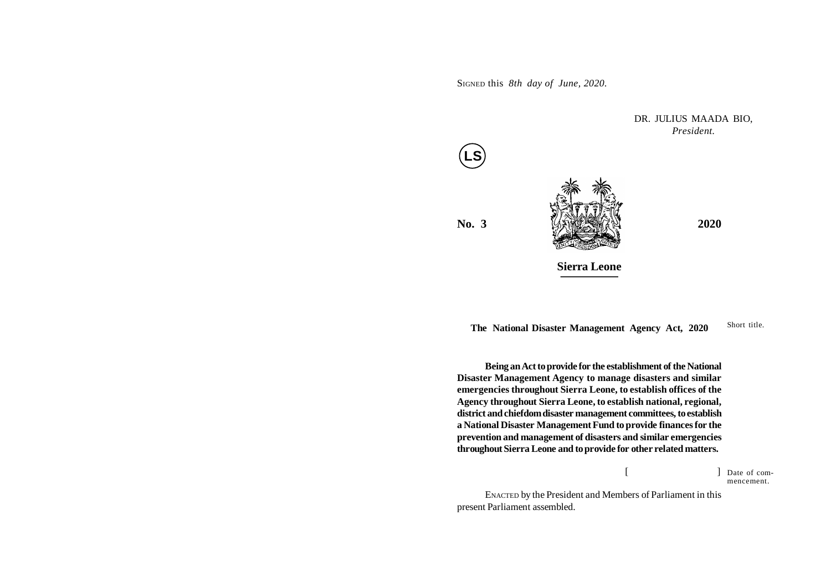SIGNED this *8th day of June, 2020.*

**No. 3** *PHERMAN* **2020 Sierra Leone** DR. JULIUS MAADA BIO, *President.* **LS**

Short title. **The National Disaster Management Agency Act, 2020**

**Being an Act to provide for the establishment of the National Disaster Management Agency to manage disasters and similar emergencies throughout Sierra Leone, to establish offices of the Agency throughout Sierra Leone, to establish national, regional, district and chiefdom disaster management committees, to establish a National Disaster Management Fund to provide finances for the prevention and management of disasters and similar emergencies throughout Sierra Leone and to provide for other related matters.**

> $[$   $]$ Date of commencement.

ENACTED by the President and Members of Parliament in this present Parliament assembled.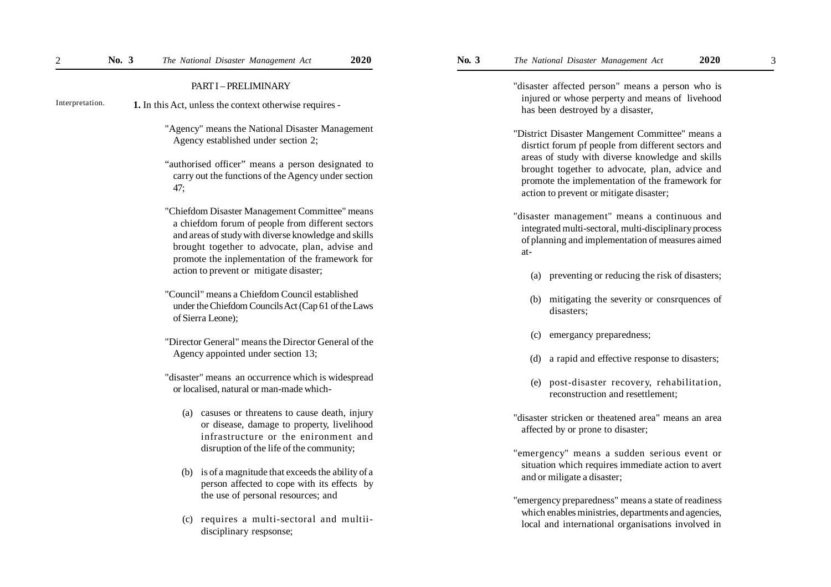#### PART I – PRELIMINARY

- **1.** In this Act, unless the context otherwise requires Interpretation.
	- "Agency" means the National Disaster Management Agency established under section 2;
	- "authorised officer" means a person designated to carry out the functions of the Agency under section 47;
	- "Chiefdom Disaster Management Committee" means a chiefdom forum of people from different sectors and areas of study with diverse knowledge and skills brought together to advocate, plan, advise and promote the inplementation of the framework for action to prevent or mitigate disaster;
	- "Council" means a Chiefdom Council established under the Chiefdom Councils Act (Cap 61 of the Laws of Sierra Leone);
	- "Director General" means the Director General of the Agency appointed under section 13;
	- "disaster" means an occurrence which is widespread or localised, natural or man-made which-
		- (a) casuses or threatens to cause death, injury or disease, damage to property, livelihood infrastructure or the enironment and disruption of the life of the community;
		- (b) is of a magnitude that exceeds the ability of a person affected to cope with its effects by the use of personal resources; and
		- (c) requires a multi-sectoral and multiidisciplinary respsonse;

"disaster affected person" means a person who is injured or whose perperty and means of livehood has been destroyed by a disaster,

- "District Disaster Mangement Committee" means a disrtict forum pf people from different sectors and areas of study with diverse knowledge and skills brought together to advocate, plan, advice and promote the implementation of the framework for action to prevent or mitigate disaster;
- 'disaster management" means a continuous and integrated multi-sectoral, multi-disciplinary process of planning and implementation of measures aimed at-
	- (a) preventing or reducing the risk of disasters;
	- (b) mitigating the severity or consrquences of disasters;
	- (c) emergancy preparedness;
	- (d) a rapid and effective response to disasters;
	- (e) post-disaster recovery, rehabilitation, reconstruction and resettlement;
- "disaster stricken or theatened area" means an area affected by or prone to disaster;
- 'emergency" means a sudden serious event or situation which requires immediate action to avert and or miligate a disaster;
- "emergency preparedness" means a state of readiness which enables ministries, departments and agencies, local and international organisations involved in

3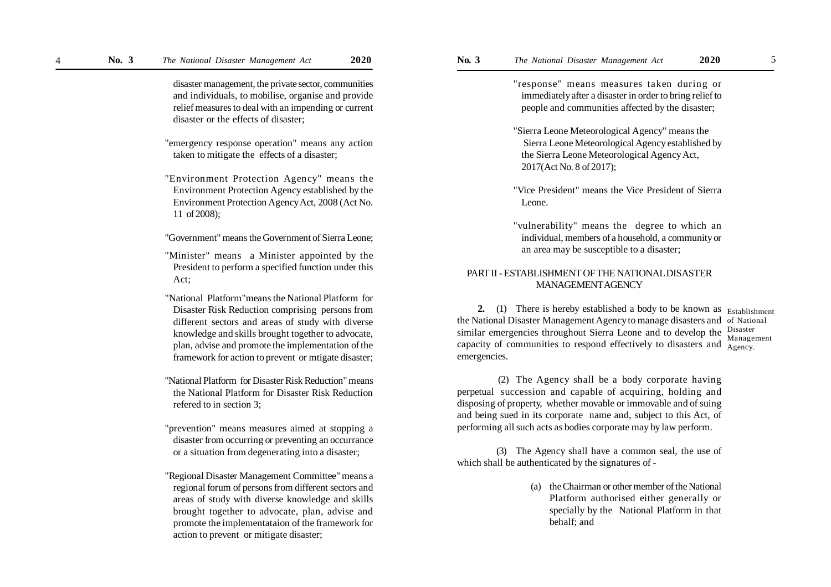disaster management, the private sector, communities and individuals, to mobilise, organise and provide relief measures to deal with an impending or current disaster or the effects of disaster;

"emergency response operation" means any action taken to mitigate the effects of a disaster;

"Environment Protection Agency" means the Environment Protection Agency established by the Environment Protection Agency Act, 2008 (Act No. 11 of 2008);

"Government" means the Government of Sierra Leone;

- "Minister" means a Minister appointed by the President to perform a specified function under this Act;
- "National Platform"means the National Platform for Disaster Risk Reduction comprising persons from different sectors and areas of study with diverse knowledge and skills brought together to advocate, plan, advise and promote the implementation of the framework for action to prevent or mtigate disaster;
- "National Platform for Disaster Risk Reduction" means the National Platform for Disaster Risk Reduction refered to in section 3;
- "prevention" means measures aimed at stopping a disaster from occurring or preventing an occurrance or a situation from degenerating into a disaster;
- "Regional Disaster Management Committee" means a regional forum of persons from different sectors and areas of study with diverse knowledge and skills brought together to advocate, plan, advise and promote the implementataion of the framework for action to prevent or mitigate disaster;

"response" means measures taken during or immediately after a disaster in order to bring relief to people and communities affected by the disaster;

- "Sierra Leone Meteorological Agency" means the Sierra Leone Meteorological Agency established by the Sierra Leone Meteorological Agency Act, 2017(Act No. 8 of 2017);
- "Vice President" means the Vice President of Sierra Leone.
- "vulnerability" means the degree to which an individual, members of a household, a community or an area may be susceptible to a disaster;

## PART II - ESTABLISHMENT OF THE NATIONAL DISASTER MANAGEMENT AGENCY

2. (1) There is hereby established a body to be known as Establishment the National Disaster Management Agency to manage disasters and of National similar emergencies throughout Sierra Leone and to develop the capacity of communities to respond effectively to disasters and  $\frac{1}{\text{Agency}}$ . emergencies. Disaster Management

 (2) The Agency shall be a body corporate having perpetual succession and capable of acquiring, holding and disposing of property, whether movable or immovable and of suing and being sued in its corporate name and, subject to this Act, of performing all such acts as bodies corporate may by law perform.

(3) The Agency shall have a common seal, the use of which shall be authenticated by the signatures of -

> (a) the Chairman or other member of the National Platform authorised either generally or specially by the National Platform in that behalf; and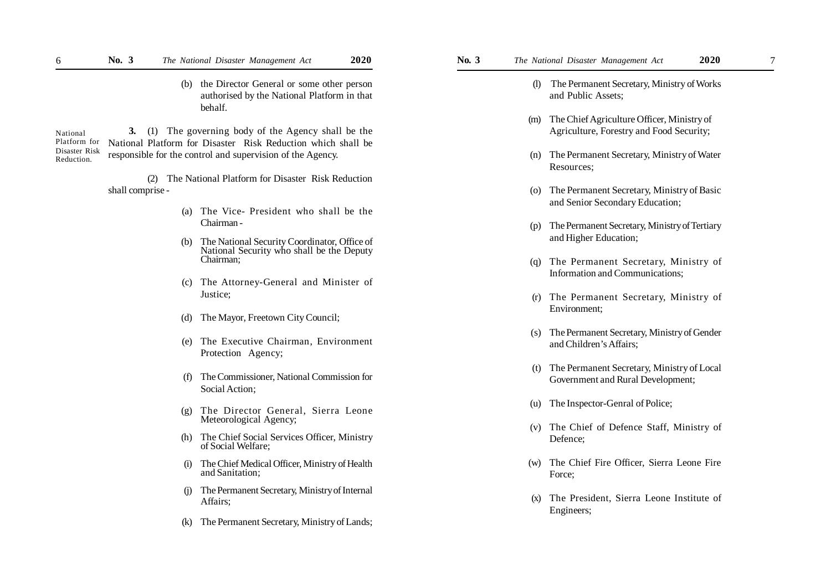(b) the Director General or some other person authorised by the National Platform in that behalf.

**3.** (1) The governing body of the Agency shall be the National Platform for Disaster Risk Reduction which shall be responsible for the control and supervision of the Agency. National Platform for Disaster Risk Reduction.

> (2) The National Platform for Disaster Risk Reduction shall comprise -

- (a) The Vice- President who shall be the Chairman -
- (b) The National Security Coordinator, Office of National Security who shall be the Deputy Chairman;
- (c) The Attorney-General and Minister of Justice;
- (d) The Mayor, Freetown City Council;
- (e) The Executive Chairman, Environment Protection Agency;
- (f) The Commissioner, National Commission for Social Action;
- (g) The Director General, Sierra Leone Meteorological Agency;
- (h) The Chief Social Services Officer, Ministry of Social Welfare;
- (i) The Chief Medical Officer, Ministry of Health and Sanitation;
- (j) The Permanent Secretary, Ministry of Internal Affairs;
- (k) The Permanent Secretary, Ministry of Lands;
- - (l) The Permanent Secretary, Ministry of Works and Public Assets;
	- (m) The Chief Agriculture Officer, Ministry of Agriculture, Forestry and Food Security;
	- (n) The Permanent Secretary, Ministry of Water Resources;
	- (o) The Permanent Secretary, Ministry of Basic and Senior Secondary Education;
	- (p) The Permanent Secretary, Ministry of Tertiary and Higher Education;
	- (q) The Permanent Secretary, Ministry of Information and Communications;
	- (r) The Permanent Secretary, Ministry of Environment;
	- (s) The Permanent Secretary, Ministry of Gender and Children's Affairs;
	- (t) The Permanent Secretary, Ministry of Local Government and Rural Development;
	- (u) The Inspector-Genral of Police;
	- (v) The Chief of Defence Staff, Ministry of Defence;
	- (w) The Chief Fire Officer, Sierra Leone Fire Force;
	- (x) The President, Sierra Leone Institute of Engineers;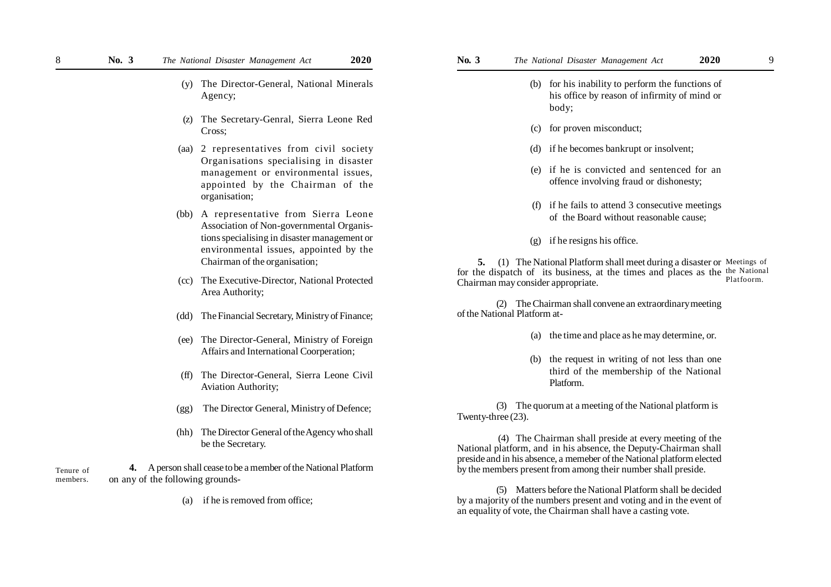- (y) The Director-General, National Minerals Agency;
- (z) The Secretary-Genral, Sierra Leone Red Cross;
- (aa) 2 representatives from civil society Organisations specialising in disaster management or environmental issues, appointed by the Chairman of the organisation;
- (bb) A representative from Sierra Leone Association of Non-governmental Organistions specialising in disaster management or environmental issues, appointed by the Chairman of the organisation;
- (cc) The Executive-Director, National Protected Area Authority;
- (dd) The Financial Secretary, Ministry of Finance;
- (ee) The Director-General, Ministry of Foreign Affairs and International Coorperation;
- (ff) The Director-General, Sierra Leone Civil Aviation Authority;
- (gg) The Director General, Ministry of Defence;
- (hh) The Director General of the Agency who shall be the Secretary.

 **4.** A person shall cease to be a member of the National Platform on any of the following grounds- Tenure of members.

(a) if he is removed from office;

- (b) for his inability to perform the functions of his office by reason of infirmity of mind or body;
- (c) for proven misconduct;
- (d) if he becomes bankrupt or insolvent;
- (e) if he is convicted and sentenced for an offence involving fraud or dishonesty;
- (f) if he fails to attend 3 consecutive meetings of the Board without reasonable cause;
- (g) if he resigns his office.

**5.** (1) The National Platform shall meet during a disaster or Meetings of for the dispatch of its business, at the times and places as the the National Chairman may consider appropriate. Platfoorm.

(2) The Chairman shall convene an extraordinary meeting of the National Platform at-

- (a) the time and place as he may determine, or.
- (b) the request in writing of not less than one third of the membership of the National Platform.

(3) The quorum at a meeting of the National platform is Twenty-three (23).

 (4) The Chairman shall preside at every meeting of the National platform, and in his absence, the Deputy-Chairman shall preside and in his absence, a memeber of the National platform elected by the members present from among their number shall preside.

(5) Matters before the National Platform shall be decided by a majority of the numbers present and voting and in the event of an equality of vote, the Chairman shall have a casting vote.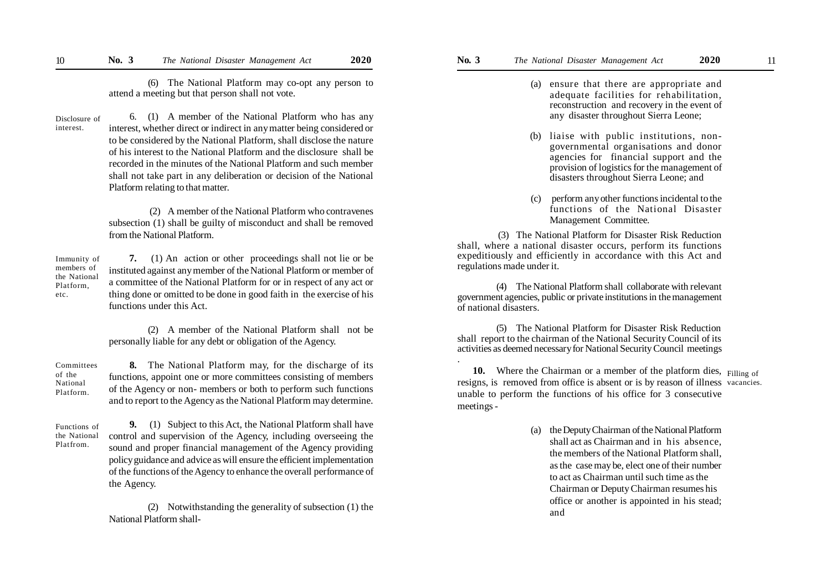(6) The National Platform may co-opt any person to attend a meeting but that person shall not vote.

Disclosure of interest.

 6. (1) A member of the National Platform who has any interest, whether direct or indirect in any matter being considered or to be considered by the National Platform, shall disclose the nature of his interest to the National Platform and the disclosure shall be recorded in the minutes of the National Platform and such member shall not take part in any deliberation or decision of the National Platform relating to that matter.

 (2) A member of the National Platform who contravenes subsection (1) shall be guilty of misconduct and shall be removed from the National Platform.

Immunity of members of the National Platform, etc.

**7.** (1) An action or other proceedings shall not lie or be instituted against any member of the National Platform or member of a committee of the National Platform for or in respect of any act or thing done or omitted to be done in good faith in the exercise of his functions under this Act.

(2) A member of the National Platform shall not be personally liable for any debt or obligation of the Agency.

**8.** The National Platform may, for the discharge of its functions, appoint one or more committees consisting of members of the Agency or non- members or both to perform such functions and to report to the Agency as the National Platform may determine. Committees National Platform.

Functions of the National Platfrom.

of the

**9.** (1) Subject to this Act, the National Platform shall have control and supervision of the Agency, including overseeing the sound and proper financial management of the Agency providing policy guidance and advice as will ensure the efficient implementation of the functions of the Agency to enhance the overall performance of the Agency.

(2) Notwithstanding the generality of subsection (1) the National Platform shall-

- - (a) ensure that there are appropriate and adequate facilities for rehabilitation, reconstruction and recovery in the event of any disaster throughout Sierra Leone;
	- (b) liaise with public institutions, nongovernmental organisations and donor agencies for financial support and the provision of logistics for the management of disasters throughout Sierra Leone; and
	- (c) perform any other functions incidental to the functions of the National Disaster Management Committee.

 (3) The National Platform for Disaster Risk Reduction shall, where a national disaster occurs, perform its functions expeditiously and efficiently in accordance with this Act and regulations made under it.

(4) The National Platform shall collaborate with relevant government agencies, public or private institutions in the management of national disasters.

(5) The National Platform for Disaster Risk Reduction shall report to the chairman of the National Security Council of its activities as deemed necessary for National Security Council meetings

.

10. Where the Chairman or a member of the platform dies, Filling of resigns, is removed from office is absent or is by reason of illness vacancies.unable to perform the functions of his office for 3 consecutive meetings -

> (a) the Deputy Chairman of the National Platform shall act as Chairman and in his absence, the members of the National Platform shall, as the case may be, elect one of their number to act as Chairman until such time as the Chairman or Deputy Chairman resumes his office or another is appointed in his stead; and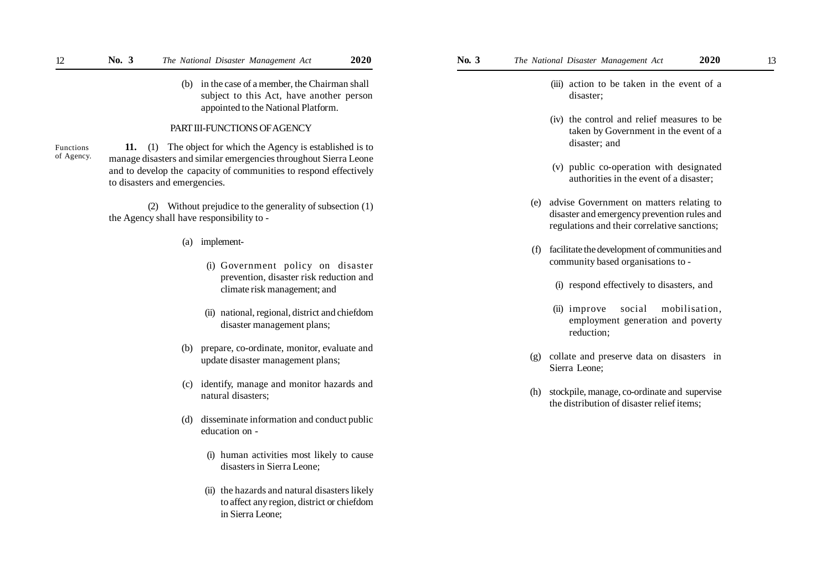(b) in the case of a member, the Chairman shall subject to this Act, have another person appointed to the National Platform.

## PART III-FUNCTIONS OF AGENCY

Functions of Agency.

**11.** (1) The object for which the Agency is established is to manage disasters and similar emergencies throughout Sierra Leone and to develop the capacity of communities to respond effectively to disasters and emergencies.

(2) Without prejudice to the generality of subsection (1) the Agency shall have responsibility to -

- (a) implement-
	- (i) Government policy on disaster prevention, disaster risk reduction and climate risk management; and
	- (ii) national, regional, district and chiefdom disaster management plans;
- (b) prepare, co-ordinate, monitor, evaluate and update disaster management plans;
- (c) identify, manage and monitor hazards and natural disasters;
- (d) disseminate information and conduct public education on -
	- (i) human activities most likely to cause disasters in Sierra Leone;
	- (ii) the hazards and natural disasters likely to affect any region, district or chiefdom in Sierra Leone;
- - (iii) action to be taken in the event of a disaster;
	- (iv) the control and relief measures to be taken by Government in the event of a disaster; and
	- (v) public co-operation with designated authorities in the event of a disaster;
	- (e) advise Government on matters relating to disaster and emergency prevention rules and regulations and their correlative sanctions;
	- (f) facilitate the development of communities and community based organisations to -
		- (i) respond effectively to disasters, and
		- (ii) improve social mobilisation, employment generation and poverty reduction;
	- (g) collate and preserve data on disasters in Sierra Leone;
	- (h) stockpile, manage, co-ordinate and supervise the distribution of disaster relief items;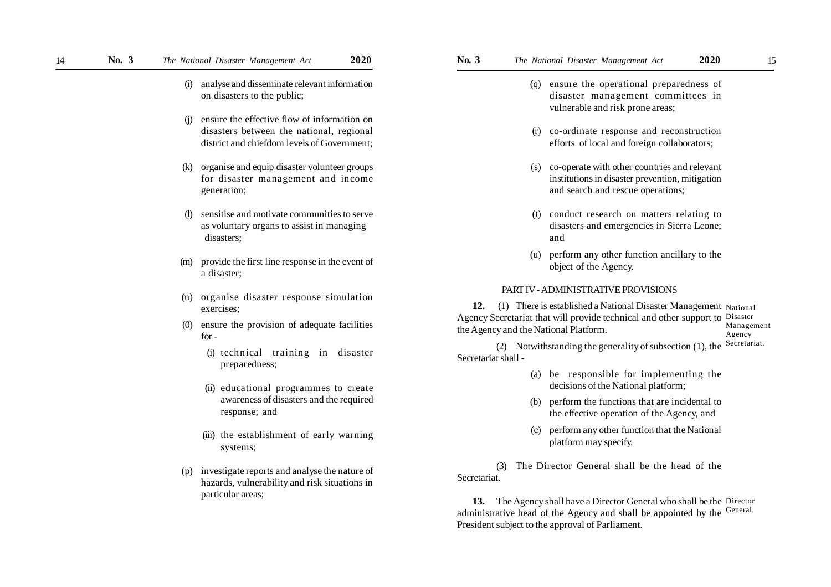- (i) analyse and disseminate relevant information on disasters to the public;
- (j) ensure the effective flow of information on disasters between the national, regional district and chiefdom levels of Government;
- (k) organise and equip disaster volunteer groups for disaster management and income generation;
- (l) sensitise and motivate communities to serve as voluntary organs to assist in managing disasters;
- (m) provide the first line response in the event of a disaster;
- (n) organise disaster response simulation exercises;
- (0) ensure the provision of adequate facilities for -
	- (i) technical training in disaster preparedness;
	- (ii) educational programmes to create awareness of disasters and the required response; and
	- (iii) the establishment of early warning systems;
- (p) investigate reports and analyse the nature of hazards, vulnerability and risk situations in particular areas;
- - (q) ensure the operational preparedness of disaster management committees in vulnerable and risk prone areas;
	- (r) co-ordinate response and reconstruction efforts of local and foreign collaborators;
	- (s) co-operate with other countries and relevant institutions in disaster prevention, mitigation and search and rescue operations;
	- (t) conduct research on matters relating to disasters and emergencies in Sierra Leone; and
	- (u) perform any other function ancillary to the object of the Agency.

### PART IV - ADMINISTRATIVE PROVISIONS

**12.** (1) There is established a National Disaster Management National Agency Secretariat that will provide technical and other support to Disaster the Agency and the National Platform. Management Agency

(2) Notwithstanding the generality of subsection (1), the Secretariat shall - Secretariat.

- (a) be responsible for implementing the decisions of the National platform;
- (b) perform the functions that are incidental to the effective operation of the Agency, and
- (c) perform any other function that the National platform may specify.

(3) The Director General shall be the head of the Secretariat.

**13.** The Agency shall have a Director General who shall be the Director administrative head of the Agency and shall be appointed by the General. President subject to the approval of Parliament.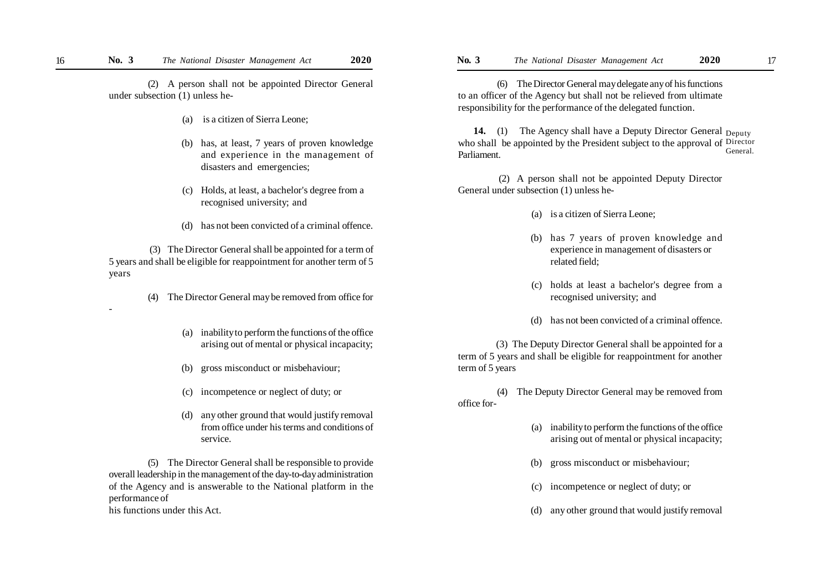(2) A person shall not be appointed Director General under subsection (1) unless he-

- (a) is a citizen of Sierra Leone;
- (b) has, at least, 7 years of proven knowledge and experience in the management of disasters and emergencies;
- (c) Holds, at least, a bachelor's degree from a recognised university; and
- (d) has not been convicted of a criminal offence.

 (3) The Director General shall be appointed for a term of 5 years and shall be eligible for reappointment for another term of 5 years

-

- (4) The Director General may be removed from office for
	- (a) inability to perform the functions of the office arising out of mental or physical incapacity;
	- (b) gross misconduct or misbehaviour;
	- (c) incompetence or neglect of duty; or
	- (d) any other ground that would justify removal from office under his terms and conditions of service.

(5) The Director General shall be responsible to provide overall leadership in the management of the day-to-day administration of the Agency and is answerable to the National platform in the performance of his functions under this Act.

(6) The Director General may delegate any of his functions to an officer of the Agency but shall not be relieved from ultimate responsibility for the performance of the delegated function.

**14.** (1) The Agency shall have a Deputy Director General <sub>Deputy</sub> who shall be appointed by the President subject to the approval of Director Parliament. General.

 (2) A person shall not be appointed Deputy Director General under subsection (1) unless he-

- (a) is a citizen of Sierra Leone;
- (b) has 7 years of proven knowledge and experience in management of disasters or related field;
- (c) holds at least a bachelor's degree from a recognised university; and
- (d) has not been convicted of a criminal offence.

 (3) The Deputy Director General shall be appointed for a term of 5 years and shall be eligible for reappointment for another term of 5 years

(4) The Deputy Director General may be removed from office for-

- (a) inability to perform the functions of the office arising out of mental or physical incapacity;
- (b) gross misconduct or misbehaviour;
- (c) incompetence or neglect of duty; or
- (d) any other ground that would justify removal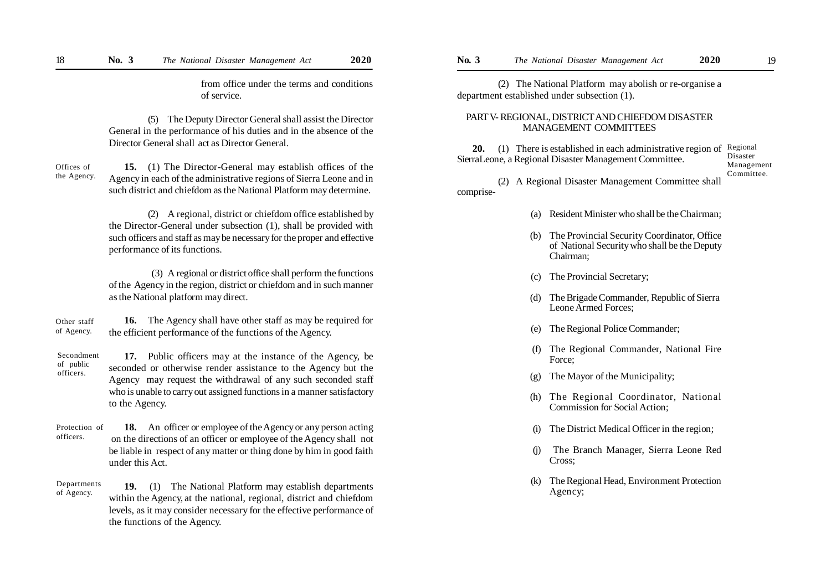from office under the terms and conditions of service.

(5) The Deputy Director General shall assist the Director General in the performance of his duties and in the absence of the Director General shall act as Director General.

**15.** (1) The Director-General may establish offices of the Agency in each of the administrative regions of Sierra Leone and in such district and chiefdom as the National Platform may determine. Offices of the Agency.

> (2) A regional, district or chiefdom office established by the Director-General under subsection (1), shall be provided with such officers and staff as may be necessary for the proper and effective performance of its functions.

> (3) A regional or district office shall perform the functions of the Agency in the region, district or chiefdom and in such manner as the National platform may direct.

 **16.** The Agency shall have other staff as may be required for the efficient performance of the functions of the Agency. Other staff of Agency.

**17.** Public officers may at the instance of the Agency, be seconded or otherwise render assistance to the Agency but the Agency may request the withdrawal of any such seconded staff who is unable to carry out assigned functions in a manner satisfactory to the Agency. Secondment of public officers.

- **18.** An officer or employee of the Agency or any person acting on the directions of an officer or employee of the Agency shall not be liable in respect of any matter or thing done by him in good faith under this Act. Protection of officers.
- **19.** (1) The National Platform may establish departments within the Agency, at the national, regional, district and chiefdom levels, as it may consider necessary for the effective performance of the functions of the Agency. Departments of Agency.

 (2) The National Platform may abolish or re-organise a department established under subsection (1).

## PART V- REGIONAL, DISTRICT AND CHIEFDOM DISASTER MANAGEMENT COMMITTEES

**20.** (1) There is established in each administrative region of Regional SierraLeone, a Regional Disaster Management Committee. Disaster Management Committee.

 (2) A Regional Disaster Management Committee shall comprise-

- (a) Resident Minister who shall be the Chairman;
- (b) The Provincial Security Coordinator, Office of National Security who shall be the Deputy Chairman;
- (c) The Provincial Secretary;
- (d) The Brigade Commander, Republic of Sierra Leone Armed Forces;
- (e) The Regional Police Commander;
- (f) The Regional Commander, National Fire Force;
- (g) The Mayor of the Municipality;
- The Regional Coordinator, National Commission for Social Action;
- (i) The District Medical Officer in the region;
- (j) The Branch Manager, Sierra Leone Red Cross;
- (k) The Regional Head, Environment Protection Agency;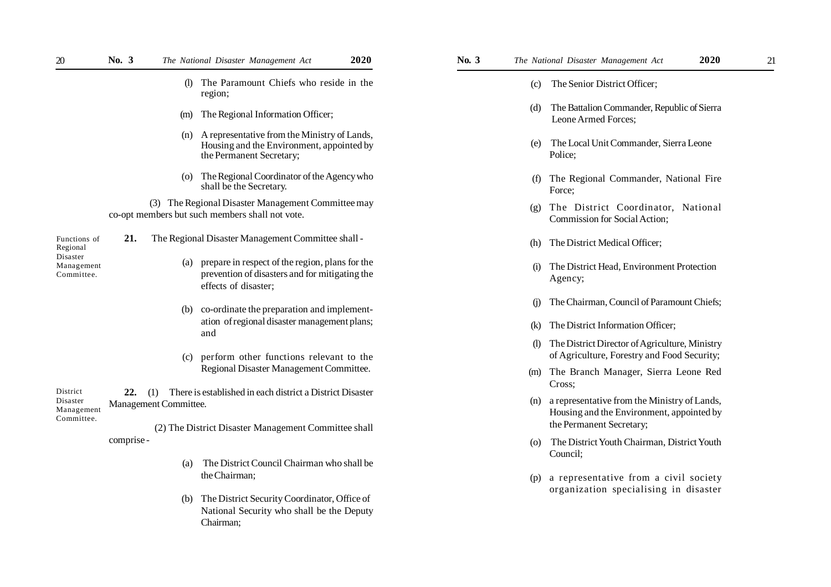| 20                                                               | No. 3      | 2020<br>The National Disaster Management Act                                                                                  | $\mathbf{No.}$ 3 |                              | 2020<br>The National Disaster Management Act                                                                              | 21 |
|------------------------------------------------------------------|------------|-------------------------------------------------------------------------------------------------------------------------------|------------------|------------------------------|---------------------------------------------------------------------------------------------------------------------------|----|
|                                                                  |            | (l) The Paramount Chiefs who reside in the<br>region;                                                                         |                  | (c)                          | The Senior District Officer;                                                                                              |    |
|                                                                  |            | The Regional Information Officer;<br>(m)                                                                                      |                  | (d)                          | The Battalion Commander, Republic of Sierra<br>Leone Armed Forces;                                                        |    |
|                                                                  |            | (n) A representative from the Ministry of Lands,<br>Housing and the Environment, appointed by<br>the Permanent Secretary;     |                  | (e)                          | The Local Unit Commander, Sierra Leone<br>Police:                                                                         |    |
|                                                                  |            | (o) The Regional Coordinator of the Agency who<br>shall be the Secretary.                                                     |                  | (f)                          | The Regional Commander, National Fire<br>Force:                                                                           |    |
|                                                                  |            | (3) The Regional Disaster Management Committee may<br>co-opt members but such members shall not vote.                         |                  | (g)                          | The District Coordinator, National<br>Commission for Social Action;                                                       |    |
| Functions of<br>Regional<br>Disaster<br>Management<br>Committee. | 21.        | The Regional Disaster Management Committee shall -                                                                            |                  | (h)                          | The District Medical Officer;                                                                                             |    |
|                                                                  |            | (a) prepare in respect of the region, plans for the<br>prevention of disasters and for mitigating the<br>effects of disaster; |                  | (i)                          | The District Head, Environment Protection<br>Agency;                                                                      |    |
|                                                                  |            | (b) co-ordinate the preparation and implement-                                                                                |                  | (1)                          | The Chairman, Council of Paramount Chiefs;                                                                                |    |
|                                                                  |            | ation of regional disaster management plans;<br>and                                                                           |                  | (k)                          | The District Information Officer;                                                                                         |    |
|                                                                  |            | perform other functions relevant to the<br>(c)                                                                                |                  | $\left( \frac{1}{2} \right)$ | The District Director of Agriculture, Ministry<br>of Agriculture, Forestry and Food Security;                             |    |
|                                                                  |            | Regional Disaster Management Committee.                                                                                       |                  |                              | (m) The Branch Manager, Sierra Leone Red<br>Cross;                                                                        |    |
| District<br>Disaster<br>Management<br>Committee.                 | 22.        | There is established in each district a District Disaster<br>(1)<br>Management Committee.                                     |                  |                              | (n) a representative from the Ministry of Lands,<br>Housing and the Environment, appointed by<br>the Permanent Secretary; |    |
|                                                                  | comprise - | (2) The District Disaster Management Committee shall                                                                          |                  | (0)                          | The District Youth Chairman, District Youth                                                                               |    |
|                                                                  |            | The District Council Chairman who shall be<br>(a)<br>the Chairman;                                                            |                  | (p)                          | Council;<br>a representative from a civil society                                                                         |    |
|                                                                  |            | (b) The District Security Coordinator, Office of<br>National Security who shall be the Deputy<br>Chairman;                    |                  |                              | organization specialising in disaster                                                                                     |    |

- (c) The Senior District Officer;
- (d) The Battalion Commander, Republic of Sierra Leone Armed Forces;
- (e) The Local Unit Commander, Sierra Leone Police;
- (f) The Regional Commander, National Fire Force;
- (g) The District Coordinator, National Commission for Social Action;
- (h) The District Medical Officer;
- (i) The District Head, Environment Protection Agency;
- (j) The Chairman, Council of Paramount Chiefs;
- (k) The District Information Officer;
- (l) The District Director of Agriculture, Ministry of Agriculture, Forestry and Food Security;
- (m) The Branch Manager, Sierra Leone Red Cross;
- (n) a representative from the Ministry of Lands, Housing and the Environment, appointed by the Permanent Secretary;
- (o) The District Youth Chairman, District Youth Council;
- (p) a representative from a civil society organization specialising in disaster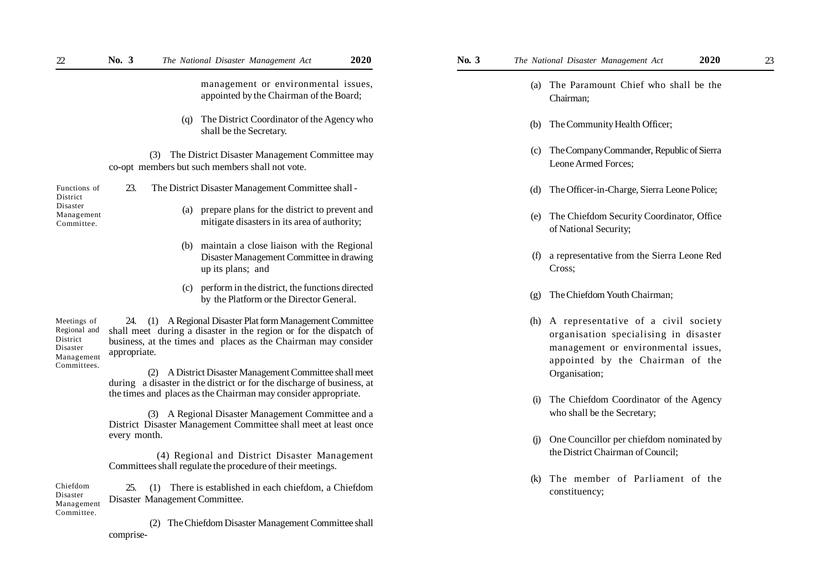| 22                                                                               | No. 3<br>2020<br>The National Disaster Management Act                                                                                                                                                                                                                        | 2020<br>No. $3$<br>The National Disaster Management Act<br>23                                                                                               |
|----------------------------------------------------------------------------------|------------------------------------------------------------------------------------------------------------------------------------------------------------------------------------------------------------------------------------------------------------------------------|-------------------------------------------------------------------------------------------------------------------------------------------------------------|
|                                                                                  | management or environmental issues,<br>appointed by the Chairman of the Board;                                                                                                                                                                                               | (a) The Paramount Chief who shall be the<br>Chairman;                                                                                                       |
|                                                                                  | The District Coordinator of the Agency who<br>(q)<br>shall be the Secretary.                                                                                                                                                                                                 | (b) The Community Health Officer;                                                                                                                           |
|                                                                                  | The District Disaster Management Committee may<br>(3)<br>co-opt members but such members shall not vote.                                                                                                                                                                     | The Company Commander, Republic of Sierra<br>$\left( c\right)$<br>Leone Armed Forces;                                                                       |
| Functions of<br>District<br>Disaster<br>Management<br>Committee.                 | The District Disaster Management Committee shall -<br>23.                                                                                                                                                                                                                    | (d) The Officer-in-Charge, Sierra Leone Police;                                                                                                             |
|                                                                                  | prepare plans for the district to prevent and<br>(a)<br>mitigate disasters in its area of authority;                                                                                                                                                                         | The Chiefdom Security Coordinator, Office<br>(e)<br>of National Security;                                                                                   |
|                                                                                  | maintain a close liaison with the Regional<br>(b)<br>Disaster Management Committee in drawing<br>up its plans; and                                                                                                                                                           | a representative from the Sierra Leone Red<br>(f)<br>Cross;                                                                                                 |
|                                                                                  | perform in the district, the functions directed<br>(c)<br>by the Platform or the Director General.                                                                                                                                                                           | The Chiefdom Youth Chairman;<br>$\left( \varrho \right)$                                                                                                    |
| Meetings of<br>Regional and<br>District<br>Disaster<br>Management<br>Committees. | 24. (1) A Regional Disaster Plat form Management Committee<br>shall meet during a disaster in the region or for the dispatch of<br>business, at the times and places as the Chairman may consider<br>appropriate.<br>(2) A District Disaster Management Committee shall meet | (h) A representative of a civil society<br>organisation specialising in disaster<br>management or environmental issues,<br>appointed by the Chairman of the |
|                                                                                  | during a disaster in the district or for the discharge of business, at<br>the times and places as the Chairman may consider appropriate.                                                                                                                                     | Organisation;<br>The Chiefdom Coordinator of the Agency<br>(i)                                                                                              |
|                                                                                  | (3) A Regional Disaster Management Committee and a<br>District Disaster Management Committee shall meet at least once                                                                                                                                                        | who shall be the Secretary;                                                                                                                                 |
|                                                                                  | every month.<br>(4) Regional and District Disaster Management<br>Committees shall regulate the procedure of their meetings.                                                                                                                                                  | One Councillor per chiefdom nominated by<br>(i)<br>the District Chairman of Council;                                                                        |
| Chiefdom<br>Disaster<br>Management                                               | There is established in each chiefdom, a Chiefdom<br>25.<br>(1)<br>Disaster Management Committee.                                                                                                                                                                            | The member of Parliament of the<br>(k)<br>constituency;                                                                                                     |

 (2) The Chiefdom Disaster Management Committee shall comprise-

- (a) The Paramount Chief who shall be the Chairman; (b) The Community Health Officer; (c) The Company Commander, Republic of Sierra Leone Armed Forces; (d) The Officer-in-Charge, Sierra Leone Police; (e) The Chiefdom Security Coordinator, Office of National Security; (f) a representative from the Sierra Leone Red Cross;
	- (g) The Chiefdom Youth Chairman;
	- (h) A representative of a civil society organisation specialising in disaster management or environmental issues, appointed by the Chairman of the Organisation;
	- (i) The Chiefdom Coordinator of the Agency who shall be the Secretary;
	- (j) One Councillor per chiefdom nominated by the District Chairman of Council;
	- (k) The member of Parliament of the constituency;

Committee.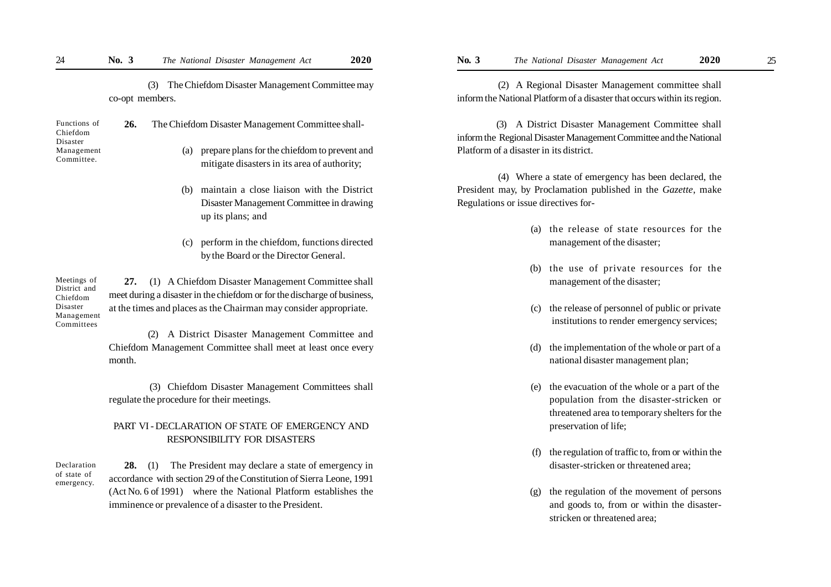(3) The Chiefdom Disaster Management Committee may co-opt members.

| Functions of<br>Chiefdom<br>Disaster | 26. | The Chiefdom Disaster Management Committee shall-                                                    |  |  |
|--------------------------------------|-----|------------------------------------------------------------------------------------------------------|--|--|
| Management<br>Committee.             |     | prepare plans for the chiefdom to prevent and<br>(a)<br>mitigate disasters in its area of authority. |  |  |

- (b) maintain a close liaison with the District Disaster Management Committee in drawing up its plans; and
- (c) perform in the chiefdom, functions directed by the Board or the Director General.

**27.** (1) A Chiefdom Disaster Management Committee shall meet during a disaster in the chiefdom or for the discharge of business, at the times and places as the Chairman may consider appropriate. Meetings of District and Chiefdom Disaster Management Committees

> (2) A District Disaster Management Committee and Chiefdom Management Committee shall meet at least once every month.

> (3) Chiefdom Disaster Management Committees shall regulate the procedure for their meetings.

# PART VI - DECLARATION OF STATE OF EMERGENCY AND RESPONSIBILITY FOR DISASTERS

**28.** (1) The President may declare a state of emergency in accordance with section 29 of the Constitution of Sierra Leone, 1991 (Act No. 6 of 1991) where the National Platform establishes the imminence or prevalence of a disaster to the President. Declaration of state of emergency.

 (2) A Regional Disaster Management committee shall inform the National Platform of a disaster that occurs within its region.

(3) A District Disaster Management Committee shall inform the Regional Disaster Management Committee and the National Platform of a disaster in its district.

 (4) Where a state of emergency has been declared, the President may, by Proclamation published in the *Gazette*, make Regulations or issue directives for-

- (a) the release of state resources for the management of the disaster;
- (b) the use of private resources for the management of the disaster;
- (c) the release of personnel of public or private institutions to render emergency services;
- (d) the implementation of the whole or part of a national disaster management plan;
- (e) the evacuation of the whole or a part of the population from the disaster-stricken or threatened area to temporary shelters for the preservation of life;
- (f) the regulation of traffic to, from or within the disaster-stricken or threatened area;
- (g) the regulation of the movement of persons and goods to, from or within the disasterstricken or threatened area;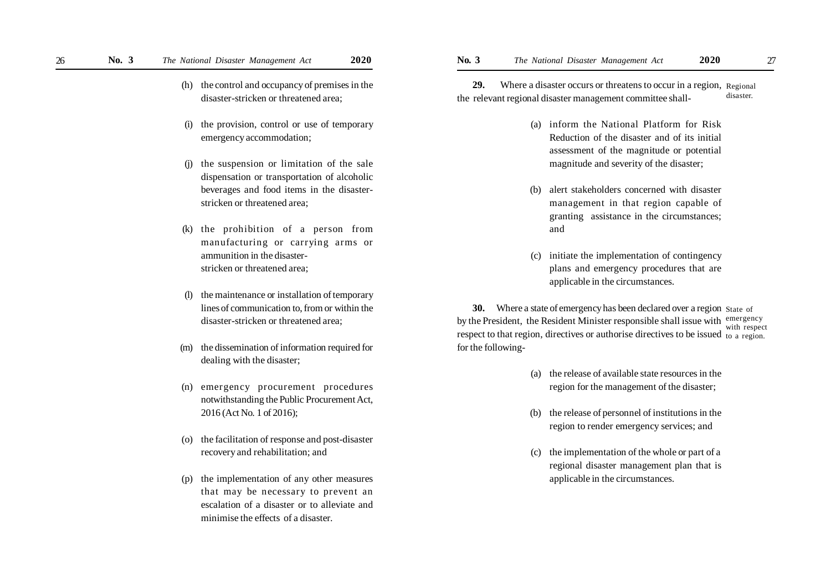- (h) the control and occupancy of premises in the disaster-stricken or threatened area;
- (i) the provision, control or use of temporary emergency accommodation;
- (j) the suspension or limitation of the sale dispensation or transportation of alcoholic beverages and food items in the disasterstricken or threatened area;
- (k) the prohibition of a person from manufacturing or carrying arms or ammunition in the disasterstricken or threatened area;
- (l) the maintenance or installation of temporary lines of communication to, from or within the disaster-stricken or threatened area;
- (m) the dissemination of information required for dealing with the disaster;
- (n) emergency procurement procedures notwithstanding the Public Procurement Act, 2016 (Act No. 1 of 2016);
- (o) the facilitation of response and post-disaster recovery and rehabilitation; and
- (p) the implementation of any other measures that may be necessary to prevent an escalation of a disaster or to alleviate and minimise the effects of a disaster.

29. Where a disaster occurs or threatens to occur in a region, Regional the relevant regional disaster management committee shall disaster.

- (a) inform the National Platform for Risk Reduction of the disaster and of its initial assessment of the magnitude or potential magnitude and severity of the disaster;
- (b) alert stakeholders concerned with disaster management in that region capable of granting assistance in the circumstances; and
- (c) initiate the implementation of contingency plans and emergency procedures that are applicable in the circumstances.

**30.** Where a state of emergency has been declared over a region State of by the President, the Resident Minister responsible shall issue with emergency respect to that region, directives or authorise directives to be issued to a region. for the following with respect

- (a) the release of available state resources in the region for the management of the disaster;
- (b) the release of personnel of institutions in the region to render emergency services; and
- (c) the implementation of the whole or part of a regional disaster management plan that is applicable in the circumstances.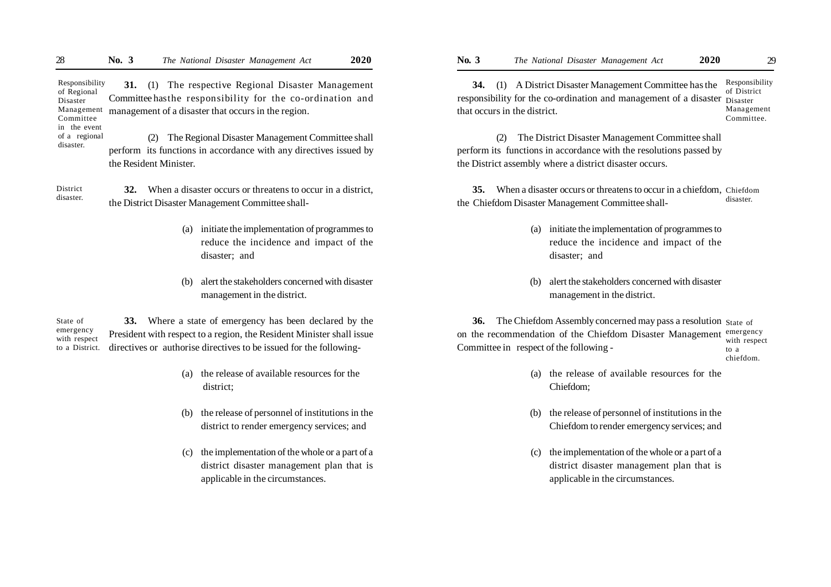**31.** (1) The respective Regional Disaster Management Committee hasthe responsibility for the co-ordination and management of a disaster that occurs in the region. Responsibility of Regional Disaster Management Committee in the event

(2) The Regional Disaster Management Committee shall perform its functions in accordance with any directives issued by the Resident Minister. of a regional

**32.** When a disaster occurs or threatens to occur in a district, the District Disaster Management Committee shall- District disaster.

disaster.

- (a) initiate the implementation of programmes to reduce the incidence and impact of the disaster; and
- (b) alert the stakeholders concerned with disaster management in the district.

**33.** Where a state of emergency has been declared by the President with respect to a region, the Resident Minister shall issue directives or authorise directives to be issued for the following- State of emergency with respect to a District.

- (a) the release of available resources for the district;
- (b) the release of personnel of institutions in the district to render emergency services; and
- (c) the implementation of the whole or a part of a district disaster management plan that is applicable in the circumstances.

**34.** (1) A District Disaster Management Committee has the responsibility for the co-ordination and management of a disaster Disaster Responsibility of District

Management Committee.

(2) The District Disaster Management Committee shall perform its functions in accordance with the resolutions passed by the District assembly where a district disaster occurs.

that occurs in the district.

**35.** When a disaster occurs or threatens to occur in a chiefdom, Chiefdom the Chiefdom Disaster Management Committee shall disaster.

- (a) initiate the implementation of programmes to reduce the incidence and impact of the disaster; and
- (b) alert the stakeholders concerned with disaster management in the district.

**36.** The Chiefdom Assembly concerned may pass a resolution State of on the recommendation of the Chiefdom Disaster Management emergency Committee in respect of the following with respect to a chiefdom.

- (a) the release of available resources for the Chiefdom;
- (b) the release of personnel of institutions in the Chiefdom to render emergency services; and
- (c) the implementation of the whole or a part of a district disaster management plan that is applicable in the circumstances.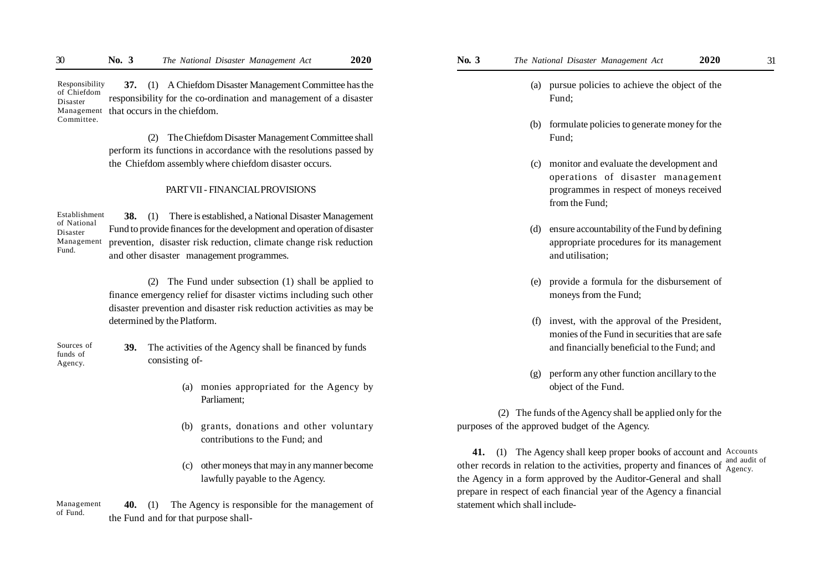**37.** (1) A Chiefdom Disaster Management Committee has the responsibility for the co-ordination and management of a disaster Management that occurs in the chiefdom. Responsibility of Chiefdom Disaster Committee.

> (2) The Chiefdom Disaster Management Committee shall perform its functions in accordance with the resolutions passed by the Chiefdom assembly where chiefdom disaster occurs.

#### PART VII - FINANCIAL PROVISIONS

Establishment of National Disaster Management Fund.

**38.** (1) There is established, a National Disaster Management Fund to provide finances for the development and operation of disaster prevention, disaster risk reduction, climate change risk reduction and other disaster management programmes.

(2) The Fund under subsection (1) shall be applied to finance emergency relief for disaster victims including such other disaster prevention and disaster risk reduction activities as may be determined by the Platform.

Sources of funds of Agency.

- **39.** The activities of the Agency shall be financed by funds consisting of-
	- (a) monies appropriated for the Agency by Parliament;
	- (b) grants, donations and other voluntary contributions to the Fund; and
	- (c) other moneys that may in any manner become lawfully payable to the Agency.

**40.** (1) The Agency is responsible for the management of the Fund and for that purpose shall- Management of Fund.

- (a) pursue policies to achieve the object of the Fund;
- (b) formulate policies to generate money for the Fund;
- (c) monitor and evaluate the development and operations of disaster management programmes in respect of moneys received from the Fund;
- (d) ensure accountability of the Fund by defining appropriate procedures for its management and utilisation;
- (e) provide a formula for the disbursement of moneys from the Fund;
- (f) invest, with the approval of the President, monies of the Fund in securities that are safe and financially beneficial to the Fund; and
- (g) perform any other function ancillary to the object of the Fund.

 (2) The funds of the Agency shall be applied only for the purposes of the approved budget of the Agency.

41. (1) The Agency shall keep proper books of account and Accounts other records in relation to the activities, property and finances of  $\frac{1}{A}$ <sub>d gency</sub> the Agency in a form approved by the Auditor-General and shall prepare in respect of each financial year of the Agency a financial statement which shall include-Agency.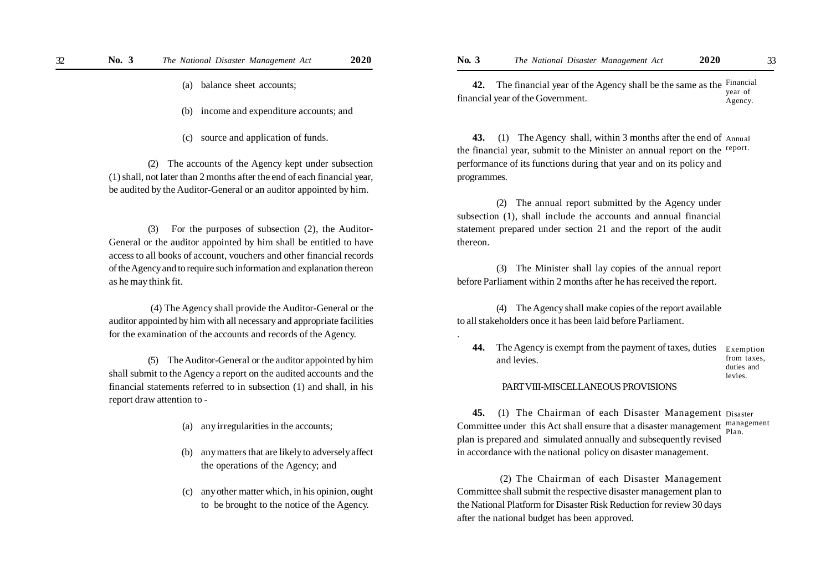- (a) balance sheet accounts;
- (b) income and expenditure accounts; and
- (c) source and application of funds.

(2) The accounts of the Agency kept under subsection (1) shall, not later than 2 months after the end of each financial year, be audited by the Auditor-General or an auditor appointed by him.

(3) For the purposes of subsection (2), the Auditor-General or the auditor appointed by him shall be entitled to have access to all books of account, vouchers and other financial records of the Agency and to require such information and explanation thereon as he may think fit.

 (4) The Agency shall provide the Auditor-General or the auditor appointed by him with all necessary and appropriate facilities for the examination of the accounts and records of the Agency.

(5) The Auditor-General or the auditor appointed by him shall submit to the Agency a report on the audited accounts and the financial statements referred to in subsection (1) and shall, in his report draw attention to -

- (a) any irregularities in the accounts;
- (b) any matters that are likely to adversely affect the operations of the Agency; and
- (c) any other matter which, in his opinion, ought to be brought to the notice of the Agency.

**42.** The financial year of the Agency shall be the same as the Financial financial year of the Government. year of Agency.

**43.** (1) The Agency shall, within 3 months after the end of Annual the financial year, submit to the Minister an annual report on the report. performance of its functions during that year and on its policy and programmes.

(2) The annual report submitted by the Agency under subsection (1), shall include the accounts and annual financial statement prepared under section 21 and the report of the audit thereon.

(3) The Minister shall lay copies of the annual report before Parliament within 2 months after he has received the report.

(4) The Agency shall make copies of the report available to all stakeholders once it has been laid before Parliament.

.

**44.** The Agency is exempt from the payment of taxes, duties and levies.

Exemption from taxes, duties and levies.

#### PART VIII-MISCELLANEOUS PROVISIONS

**45.** (1) The Chairman of each Disaster Management Disaster Committee under this Act shall ensure that a disaster management management plan is prepared and simulated annually and subsequently revised in accordance with the national policy on disaster management. Plan.

 (2) The Chairman of each Disaster Management Committee shall submit the respective disaster management plan to the National Platform for Disaster Risk Reduction for review 30 days after the national budget has been approved.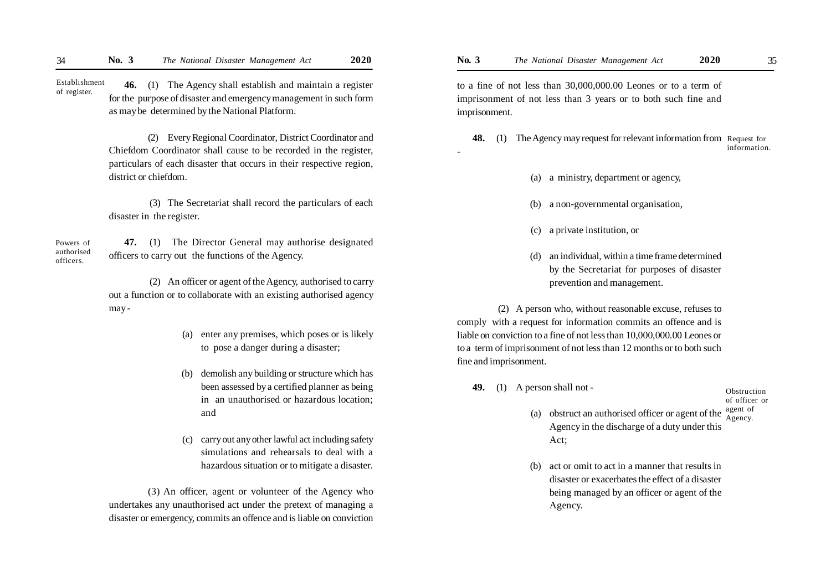**46.** (1) The Agency shall establish and maintain a register for the purpose of disaster and emergency management in such form as may be determined by the National Platform. Establishment of register.

> (2) Every Regional Coordinator, District Coordinator and Chiefdom Coordinator shall cause to be recorded in the register, particulars of each disaster that occurs in their respective region, district or chiefdom.

> (3) The Secretariat shall record the particulars of each disaster in the register.

Powers of authorised officers.

 **47.** (1) The Director General may authorise designated officers to carry out the functions of the Agency.

 (2) An officer or agent of the Agency, authorised to carry out a function or to collaborate with an existing authorised agency may -

- (a) enter any premises, which poses or is likely to pose a danger during a disaster;
- (b) demolish any building or structure which has been assessed by a certified planner as being in an unauthorised or hazardous location; and
- (c) carry out any other lawful act including safety simulations and rehearsals to deal with a hazardous situation or to mitigate a disaster.

(3) An officer, agent or volunteer of the Agency who undertakes any unauthorised act under the pretext of managing a disaster or emergency, commits an offence and is liable on conviction to a fine of not less than 30,000,000.00 Leones or to a term of imprisonment of not less than 3 years or to both such fine and imprisonment.

**48.** (1) The Agency may request for relevant information from Request for information.

- (a) a ministry, department or agency,
- (b) a non-governmental organisation,
- (c) a private institution, or
- (d) an individual, within a time frame determined by the Secretariat for purposes of disaster prevention and management.

 (2) A person who, without reasonable excuse, refuses to comply with a request for information commits an offence and is liable on conviction to a fine of not less than 10,000,000.00 Leones or to a term of imprisonment of not less than 12 months or to both such fine and imprisonment.

**49.** (1) A person shall not -

-

Obstruction of officer or agent of

- (a) obstruct an authorised officer or agent of the Agency in the discharge of a duty under this Act; Agency.
- (b) act or omit to act in a manner that results in disaster or exacerbates the effect of a disaster being managed by an officer or agent of the Agency.